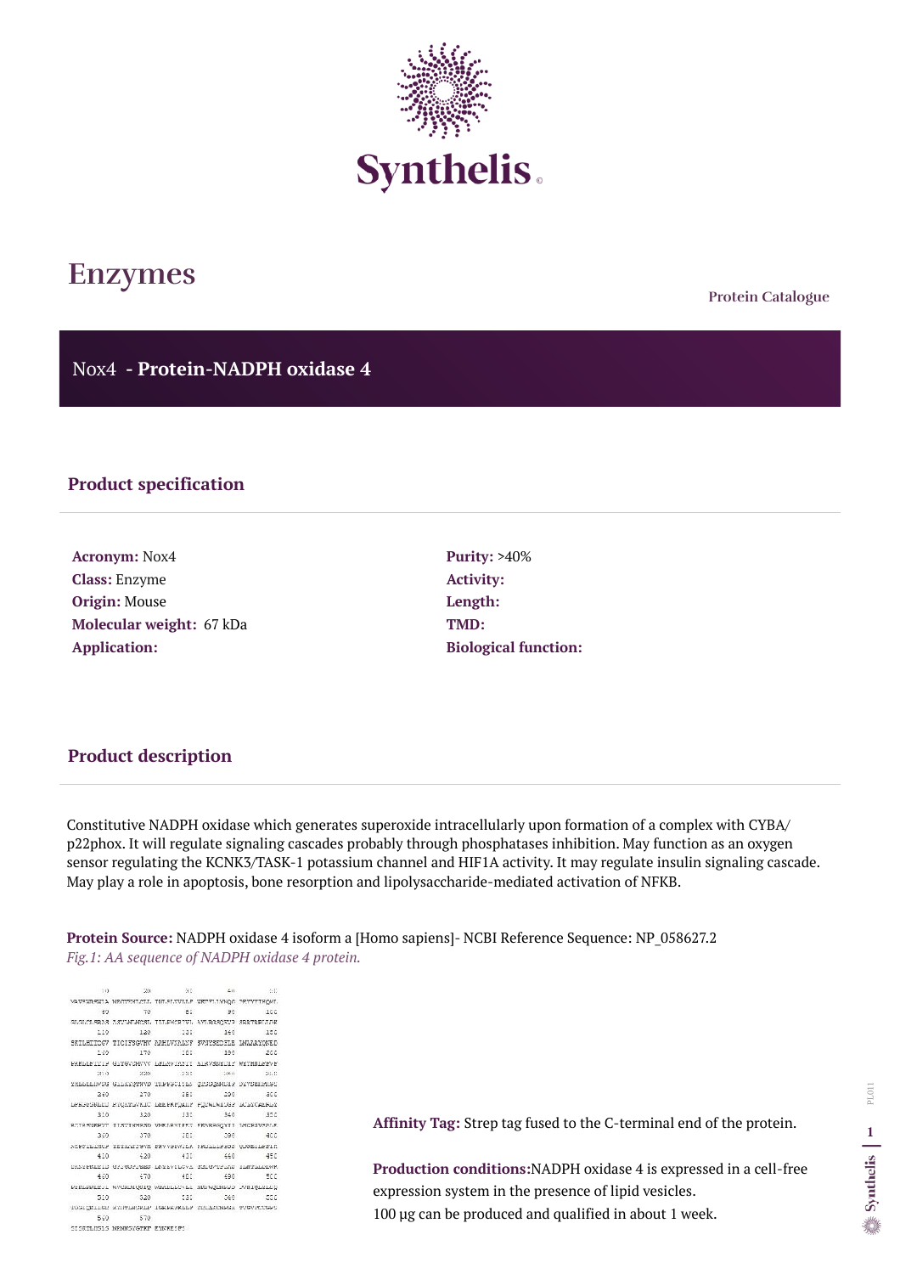**Protein Catalogue**

Nox4 **- Protein-NADPH oxidase 4**



# **Enzymes**

## **Product specification**

**Acronym:** Nox4 **Class:** Enzyme **Origin:** Mouse **Molecular weight:** 67 kDa **Application:**

**Purity:** >40% **Activity: Length: TMD: Biological function:**

#### **Product description**

Constitutive NADPH oxidase which generates superoxide intracellularly upon formation of a complex with CYBA/ p22phox. It will regulate signaling cascades probably through phosphatases inhibition. May function as an oxygen sensor regulating the KCNK3/TASK-1 potassium channel and HIF1A activity. It may regulate insulin signaling cascade. May play a role in apoptosis, bone resorption and lipolysaccharide-mediated activation of NFKB.

**Protein Source:** NADPH oxidase 4 isoform a [Homo sapiens]- NCBI Reference Sequence: NP\_058627.2 *Fig.1: AA sequence of NADPH oxidase 4 protein.*

 $10 - 20 = 30$ 2:07 MAVEWRENLA NECVERLICLL IMLELVILLE WETFLLYNGG PEYYYIEGML 60 70 BC 90 ICC GLOLOLSRAS ASVIMINOSI ILLEMORIVI AYLRGSQKVP SRRTRELLINE 110 120 130 140 150 SEILHIICGV TICIFSGVHV AAHLVNALNF SVNYSEDFLE LWAARYQNED 160 170 180 190 200 EREPPELITE GTLANCHAAA PRPWATVELL UTRASHADIS MULHNPRAR 21.0 22.0 23.0 23.0 24.0 **DATE** TEPPETHASE GTTKAĞAMAD INFREDISTR ĞIRRÖNHILE DAARETWIRE 270 280 269 - 290 300 PRESPRIERI REĞKLIVKIC TEFFREJUIN EILMINIRES TOPICHERPI 310 320 330 340 350 RCIRSURFYT IISVINHRSD VMELRWIEEN FRARRGQYII LHCRSVSALE 369 370 380 390  $-400$ NEFFILINCS TETENTIGVE FRVVSDWILE FRULLLEFSS QUSEILFFIE 410 420 430 460 450 SEPTERTIS GETESPTEES TVIPASPOAT GETGATETYS ITMLTTTOWK 460 470 480  $-490$ SCC. FIRERREIT WVCRDIQSIQ WEADLEVER MREWGENRED FVRIQUIEQ 510 520 530 540  $-550$ TOGICKLIGE KYHTEMGREF, TGKRKWKPPR DUTVROMHRK LAGARICKARE 560 570 SISETLISLS NPNNSYGTKT EYNKESFS

**Affinity Tag:** Strep tag fused to the C-terminal end of the protein.

**Production conditions:**NADPH oxidase 4 is expressed in a cell-free expression system in the presence of lipid vesicles. 100 µg can be produced and qualified in about 1 week.